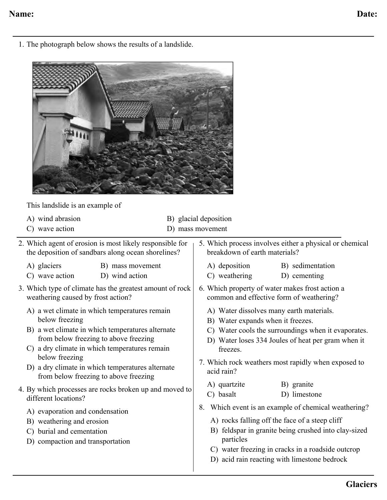1. The photograph below shows the results of a landslide.



This landslide is an example of

| A) wind abrasion<br>C) wave action                                                                                                                                                                                                                                                                                                                                                                   | B) glacial deposition<br>D) mass movement                                                                                                                                                                                                                                                                        |  |
|------------------------------------------------------------------------------------------------------------------------------------------------------------------------------------------------------------------------------------------------------------------------------------------------------------------------------------------------------------------------------------------------------|------------------------------------------------------------------------------------------------------------------------------------------------------------------------------------------------------------------------------------------------------------------------------------------------------------------|--|
| 2. Which agent of erosion is most likely responsible for<br>the deposition of sandbars along ocean shorelines?                                                                                                                                                                                                                                                                                       | 5. Which process involves either a physical or chemical<br>breakdown of earth materials?                                                                                                                                                                                                                         |  |
| A) glaciers<br>B) mass movement<br>C) wave action<br>D) wind action                                                                                                                                                                                                                                                                                                                                  | A) deposition<br>B) sedimentation<br>C) weathering<br>D) cementing                                                                                                                                                                                                                                               |  |
| 3. Which type of climate has the greatest amount of rock<br>weathering caused by frost action?                                                                                                                                                                                                                                                                                                       | 6. Which property of water makes frost action a<br>common and effective form of weathering?                                                                                                                                                                                                                      |  |
| A) a wet climate in which temperatures remain<br>below freezing<br>B) a wet climate in which temperatures alternate<br>from below freezing to above freezing<br>a dry climate in which temperatures remain<br>$\mathcal{C}$<br>below freezing<br>D) a dry climate in which temperatures alternate<br>from below freezing to above freezing<br>4. By which processes are rocks broken up and moved to | A) Water dissolves many earth materials.<br>B) Water expands when it freezes.<br>C) Water cools the surroundings when it evaporates.<br>D) Water loses 334 Joules of heat per gram when it<br>freezes.<br>7. Which rock weathers most rapidly when exposed to<br>acid rain?<br>B) granite<br>A) quartzite        |  |
| different locations?<br>A) evaporation and condensation<br>B) weathering and erosion<br>C) burial and cementation<br>D) compaction and transportation                                                                                                                                                                                                                                                | C) basalt<br>D) limestone<br>Which event is an example of chemical weathering?<br>8.<br>A) rocks falling off the face of a steep cliff<br>B) feldspar in granite being crushed into clay-sized<br>particles<br>C) water freezing in cracks in a roadside outcrop<br>D) acid rain reacting with limestone bedrock |  |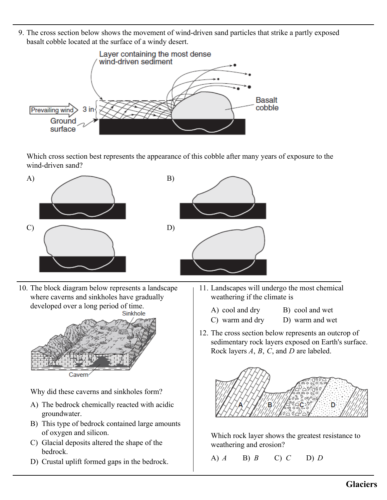9. The cross section below shows the movement of wind-driven sand particles that strike a partly exposed basalt cobble located at the surface of a windy desert.



Which cross section best represents the appearance of this cobble after many years of exposure to the wind-driven sand?



10. The block diagram below represents a landscape where caverns and sinkholes have gradually developed over a long period of time.



Why did these caverns and sinkholes form?

- A) The bedrock chemically reacted with acidic groundwater.
- B) This type of bedrock contained large amounts of oxygen and silicon.
- C) Glacial deposits altered the shape of the bedrock.
- D) Crustal uplift formed gaps in the bedrock.
- 11. Landscapes will undergo the most chemical weathering if the climate is
	- A) cool and dry B) cool and wet
	- C) warm and dry D) warm and wet
- 12. The cross section below represents an outcrop of sedimentary rock layers exposed on Earth's surface. Rock layers *A*, *B*, *C*, and *D* are labeled.



Which rock layer shows the greatest resistance to weathering and erosion?

A) *A* B) *B* C) *C* D) *D*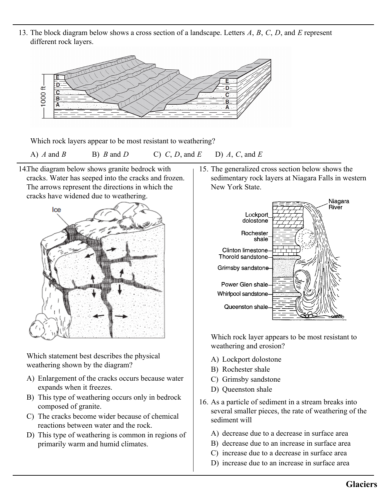13. The block diagram below shows a cross section of a landscape. Letters *A*, *B*, *C*, *D*, and *E* represen<sup>t</sup> different rock layers.



Which rock layers appear to be most resistant to weathering?

A) *A* and *B* B) *B* and *D* C) *C*, *D*, and *E* D) *A*, *C*, and *E*

14.The diagram below shows granite bedrock with cracks. Water has seeped into the cracks and frozen. The arrows represent the directions in which the cracks have widened due to weathering.



Which statement best describes the physical weathering shown by the diagram?

- A) Enlargement of the cracks occurs because water expands when it freezes.
- B) This type of weathering occurs only in bedrock composed of granite.
- C) The cracks become wider because of chemical reactions between water and the rock.
- D) This type of weathering is common in regions of primarily warm and humid climates.

15. The generalized cross section below shows the sedimentary rock layers at Niagara Falls in western New York State.



Which rock layer appears to be most resistant to weathering and erosion?

- A) Lockport dolostone
- B) Rochester shale
- C) Grimsby sandstone
- D) Queenston shale
- 16. As a particle of sediment in a stream breaks into several smaller pieces, the rate of weathering of the sediment will
	- A) decrease due to a decrease in surface area
	- B) decrease due to an increase in surface area
	- C) increase due to a decrease in surface area
	- D) increase due to an increase in surface area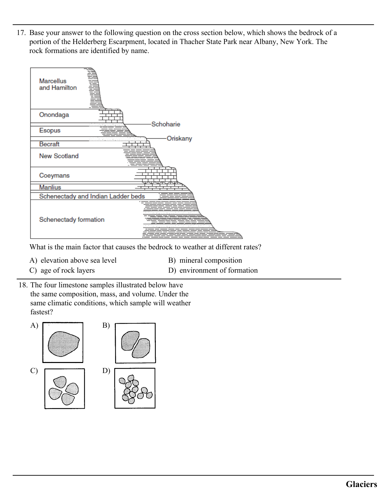17. Base your answer to the following question on the cross section below, which shows the bedrock of a portion of the Helderberg Escarpment, located in Thacher State Park near Albany, New York. The rock formations are identified by name.



What is the main factor that causes the bedrock to weather at different rates?

- A) elevation above sea level B) mineral composition
	-
- 
- 
- C) age of rock layers D) environment of formation
- 18. The four limestone samples illustrated below have the same composition, mass, and volume. Under the same climatic conditions, which sample will weather fastest?